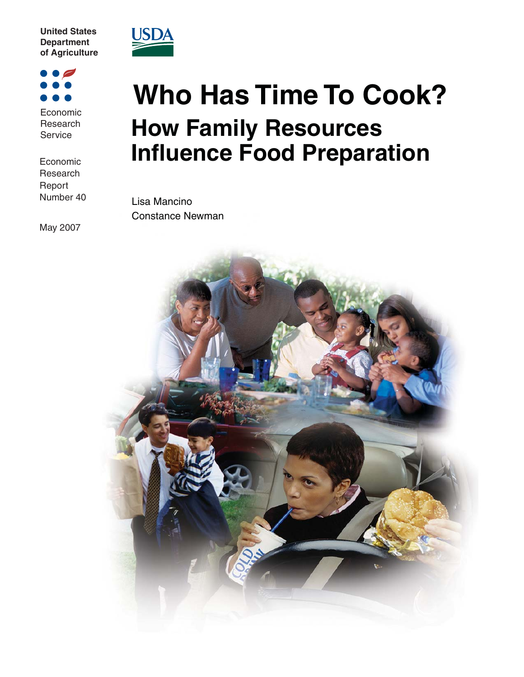**United States Department of Agriculture** 



Economic **Research** Service

Economic **Research** Report Number 40

May 2007



## **Who Has Time To Cook? How Family Resources Influence Food Preparation**

Lisa Mancino Constance Newman

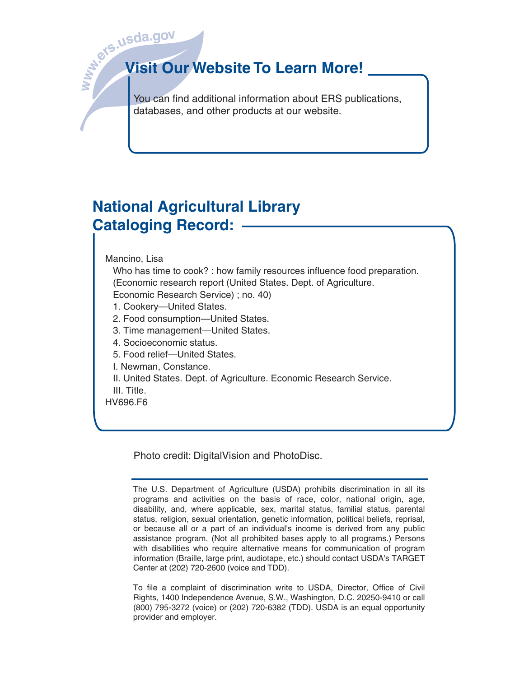

# **b**. **l**. **l. c l. c l. c l. c l. c l. c d Visit Our Website To Learn More!**

You can find additional information about ERS publications, databases, and other products at our website.

## **National Agricultural Library Cataloging Record:**

Mancino, Lisa

 Who has time to cook? : how family resources influence food preparation. (Economic research report (United States. Dept. of Agriculture.

Economic Research Service) ; no. 40)

- 1. Cookery—United States.
- 2. Food consumption—United States.
- 3. Time management—United States.
- 4. Socioeconomic status.
- 5. Food relief—United States.

I. Newman, Constance.

II. United States. Dept. of Agriculture. Economic Research Service.

III. Title.

HV696.F6

Photo credit: DigitalVision and PhotoDisc.

The U.S. Department of Agriculture (USDA) prohibits discrimination in all its programs and activities on the basis of race, color, national origin, age, disability, and, where applicable, sex, marital status, familial status, parental status, religion, sexual orientation, genetic information, political beliefs, reprisal, or because all or a part of an individual's income is derived from any public assistance program. (Not all prohibited bases apply to all programs.) Persons with disabilities who require alternative means for communication of program information (Braille, large print, audiotape, etc.) should contact USDA's TARGET Center at (202) 720-2600 (voice and TDD).

To file a complaint of discrimination write to USDA, Director, Office of Civil Rights, 1400 Independence Avenue, S.W., Washington, D.C. 20250-9410 or call (800) 795-3272 (voice) or (202) 720-6382 (TDD). USDA is an equal opportunity provider and employer.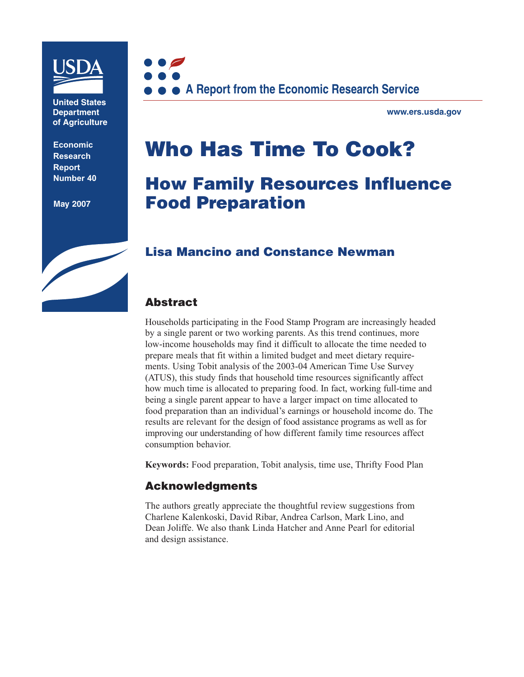

**United States Department of Agriculture** 

**Economic Research Report Number 40**

**May 2007**



**www.ers.usda.gov** 

## **Who Has Time To Cook?**

## **How Family Resources Influence Food Preparation**

## **Lisa Mancino and Constance Newman**

#### **Abstract**

Households participating in the Food Stamp Program are increasingly headed by a single parent or two working parents. As this trend continues, more low-income households may find it difficult to allocate the time needed to prepare meals that fit within a limited budget and meet dietary requirements. Using Tobit analysis of the 2003-04 American Time Use Survey (ATUS), this study finds that household time resources significantly affect how much time is allocated to preparing food. In fact, working full-time and being a single parent appear to have a larger impact on time allocated to food preparation than an individual's earnings or household income do. The results are relevant for the design of food assistance programs as well as for improving our understanding of how different family time resources affect consumption behavior.

**Keywords:** Food preparation, Tobit analysis, time use, Thrifty Food Plan

#### **Acknowledgments**

The authors greatly appreciate the thoughtful review suggestions from Charlene Kalenkoski, David Ribar, Andrea Carlson, Mark Lino, and Dean Joliffe. We also thank Linda Hatcher and Anne Pearl for editorial and design assistance.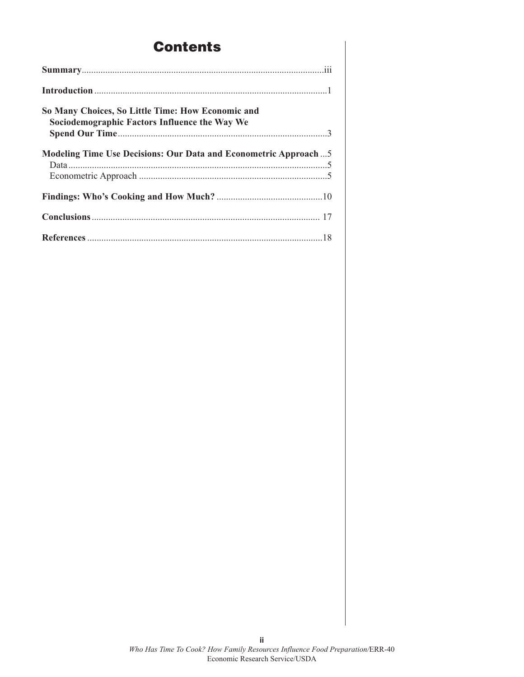## **Contents**

| So Many Choices, So Little Time: How Economic and<br>Sociodemographic Factors Influence the Way We |
|----------------------------------------------------------------------------------------------------|
|                                                                                                    |
| Modeling Time Use Decisions: Our Data and Econometric Approach5                                    |
|                                                                                                    |
|                                                                                                    |
|                                                                                                    |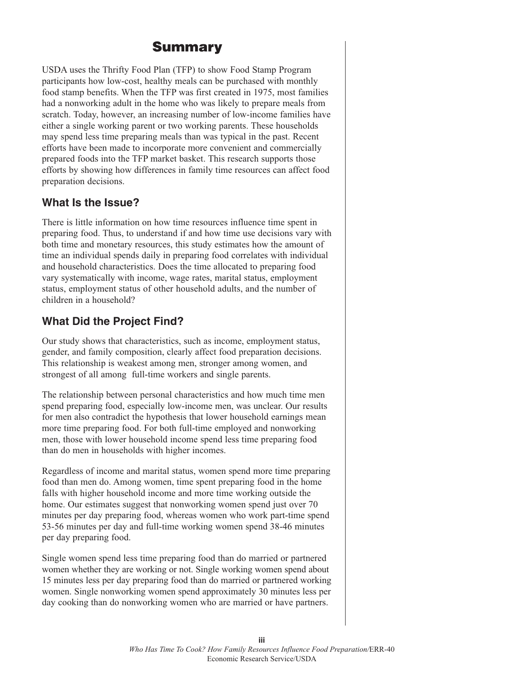## **Summary**

USDA uses the Thrifty Food Plan (TFP) to show Food Stamp Program participants how low-cost, healthy meals can be purchased with monthly food stamp benefits. When the TFP was first created in 1975, most families had a nonworking adult in the home who was likely to prepare meals from scratch. Today, however, an increasing number of low-income families have either a single working parent or two working parents. These households may spend less time preparing meals than was typical in the past. Recent efforts have been made to incorporate more convenient and commercially prepared foods into the TFP market basket. This research supports those efforts by showing how differences in family time resources can affect food preparation decisions.

#### **What Is the Issue?**

There is little information on how time resources influence time spent in preparing food. Thus, to understand if and how time use decisions vary with both time and monetary resources, this study estimates how the amount of time an individual spends daily in preparing food correlates with individual and household characteristics. Does the time allocated to preparing food vary systematically with income, wage rates, marital status, employment status, employment status of other household adults, and the number of children in a household?

#### **What Did the Project Find?**

Our study shows that characteristics, such as income, employment status, gender, and family composition, clearly affect food preparation decisions. This relationship is weakest among men, stronger among women, and strongest of all among full-time workers and single parents.

The relationship between personal characteristics and how much time men spend preparing food, especially low-income men, was unclear. Our results for men also contradict the hypothesis that lower household earnings mean more time preparing food. For both full-time employed and nonworking men, those with lower household income spend less time preparing food than do men in households with higher incomes.

Regardless of income and marital status, women spend more time preparing food than men do. Among women, time spent preparing food in the home falls with higher household income and more time working outside the home. Our estimates suggest that nonworking women spend just over 70 minutes per day preparing food, whereas women who work part-time spend 53-56 minutes per day and full-time working women spend 38-46 minutes per day preparing food.

Single women spend less time preparing food than do married or partnered women whether they are working or not. Single working women spend about 15 minutes less per day preparing food than do married or partnered working women. Single nonworking women spend approximately 30 minutes less per day cooking than do nonworking women who are married or have partners.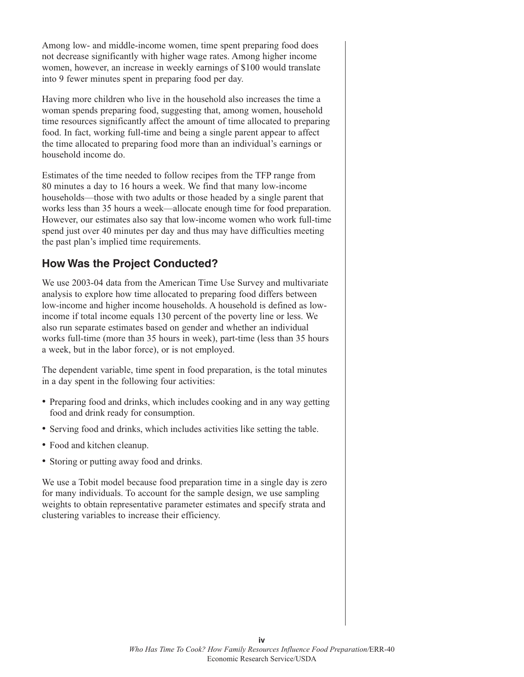Among low- and middle-income women, time spent preparing food does not decrease significantly with higher wage rates. Among higher income women, however, an increase in weekly earnings of \$100 would translate into 9 fewer minutes spent in preparing food per day.

Having more children who live in the household also increases the time a woman spends preparing food, suggesting that, among women, household time resources significantly affect the amount of time allocated to preparing food. In fact, working full-time and being a single parent appear to affect the time allocated to preparing food more than an individual's earnings or household income do.

Estimates of the time needed to follow recipes from the TFP range from 80 minutes a day to 16 hours a week. We find that many low-income households—those with two adults or those headed by a single parent that works less than 35 hours a week—allocate enough time for food preparation. However, our estimates also say that low-income women who work full-time spend just over 40 minutes per day and thus may have difficulties meeting the past plan's implied time requirements.

#### **How Was the Project Conducted?**

We use 2003-04 data from the American Time Use Survey and multivariate analysis to explore how time allocated to preparing food differs between low-income and higher income households. A household is defined as lowincome if total income equals 130 percent of the poverty line or less. We also run separate estimates based on gender and whether an individual works full-time (more than 35 hours in week), part-time (less than 35 hours a week, but in the labor force), or is not employed.

The dependent variable, time spent in food preparation, is the total minutes in a day spent in the following four activities:

- Preparing food and drinks, which includes cooking and in any way getting food and drink ready for consumption.
- Serving food and drinks, which includes activities like setting the table.
- Food and kitchen cleanup.
- Storing or putting away food and drinks.

We use a Tobit model because food preparation time in a single day is zero for many individuals. To account for the sample design, we use sampling weights to obtain representative parameter estimates and specify strata and clustering variables to increase their efficiency.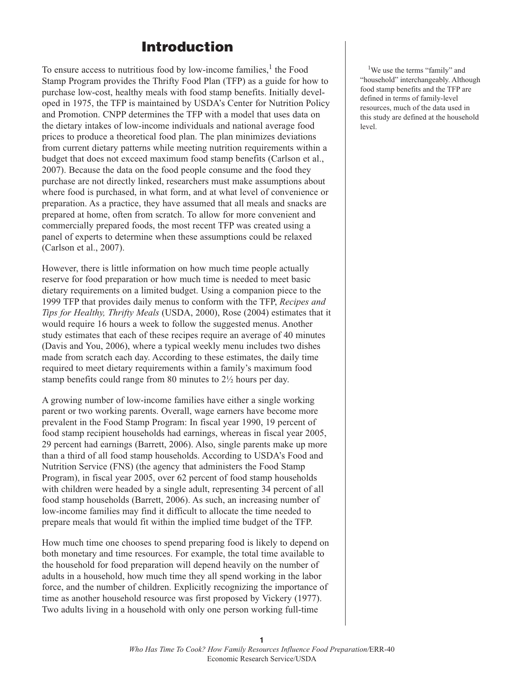## **Introduction**

To ensure access to nutritious food by low-income families, <sup>1</sup> the Food Stamp Program provides the Thrifty Food Plan (TFP) as a guide for how to purchase low-cost, healthy meals with food stamp benefits. Initially developed in 1975, the TFP is maintained by USDA's Center for Nutrition Policy and Promotion. CNPP determines the TFP with a model that uses data on the dietary intakes of low-income individuals and national average food prices to produce a theoretical food plan. The plan minimizes deviations from current dietary patterns while meeting nutrition requirements within a budget that does not exceed maximum food stamp benefits (Carlson et al., 2007). Because the data on the food people consume and the food they purchase are not directly linked, researchers must make assumptions about where food is purchased, in what form, and at what level of convenience or preparation. As a practice, they have assumed that all meals and snacks are prepared at home, often from scratch. To allow for more convenient and commercially prepared foods, the most recent TFP was created using a panel of experts to determine when these assumptions could be relaxed (Carlson et al., 2007).

However, there is little information on how much time people actually reserve for food preparation or how much time is needed to meet basic dietary requirements on a limited budget. Using a companion piece to the 1999 TFP that provides daily menus to conform with the TFP, *Recipes and Tips for Healthy, Thrifty Meals* (USDA, 2000), Rose (2004) estimates that it would require 16 hours a week to follow the suggested menus. Another study estimates that each of these recipes require an average of 40 minutes (Davis and You, 2006), where a typical weekly menu includes two dishes made from scratch each day. According to these estimates, the daily time required to meet dietary requirements within a family's maximum food stamp benefits could range from 80 minutes to 2½ hours per day.

A growing number of low-income families have either a single working parent or two working parents. Overall, wage earners have become more prevalent in the Food Stamp Program: In fiscal year 1990, 19 percent of food stamp recipient households had earnings, whereas in fiscal year 2005, 29 percent had earnings (Barrett, 2006). Also, single parents make up more than a third of all food stamp households. According to USDA's Food and Nutrition Service (FNS) (the agency that administers the Food Stamp Program), in fiscal year 2005, over 62 percent of food stamp households with children were headed by a single adult, representing 34 percent of all food stamp households (Barrett, 2006). As such, an increasing number of low-income families may find it difficult to allocate the time needed to prepare meals that would fit within the implied time budget of the TFP.

How much time one chooses to spend preparing food is likely to depend on both monetary and time resources. For example, the total time available to the household for food preparation will depend heavily on the number of adults in a household, how much time they all spend working in the labor force, and the number of children. Explicitly recognizing the importance of time as another household resource was first proposed by Vickery (1977). Two adults living in a household with only one person working full-time

<sup>1</sup>We use the terms "family" and "household" interchangeably. Although food stamp benefits and the TFP are defined in terms of family-level resources, much of the data used in this study are defined at the household level.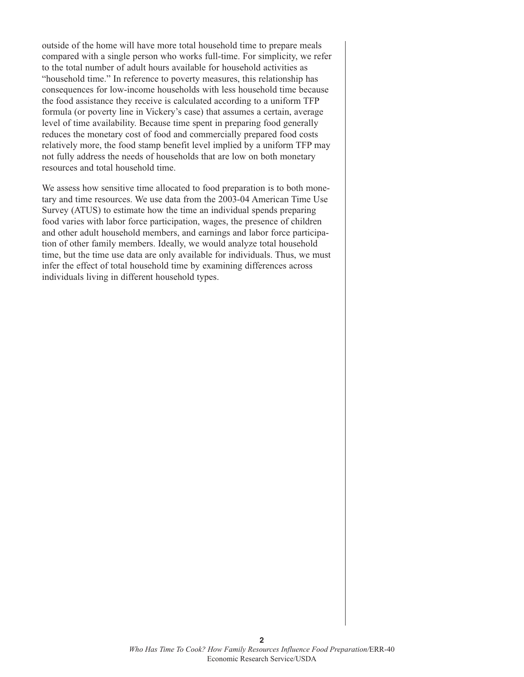outside of the home will have more total household time to prepare meals compared with a single person who works full-time. For simplicity, we refer to the total number of adult hours available for household activities as "household time." In reference to poverty measures, this relationship has consequences for low-income households with less household time because the food assistance they receive is calculated according to a uniform TFP formula (or poverty line in Vickery's case) that assumes a certain, average level of time availability. Because time spent in preparing food generally reduces the monetary cost of food and commercially prepared food costs relatively more, the food stamp benefit level implied by a uniform TFP may not fully address the needs of households that are low on both monetary resources and total household time.

We assess how sensitive time allocated to food preparation is to both monetary and time resources. We use data from the 2003-04 American Time Use Survey (ATUS) to estimate how the time an individual spends preparing food varies with labor force participation, wages, the presence of children and other adult household members, and earnings and labor force participation of other family members. Ideally, we would analyze total household time, but the time use data are only available for individuals. Thus, we must infer the effect of total household time by examining differences across individuals living in different household types.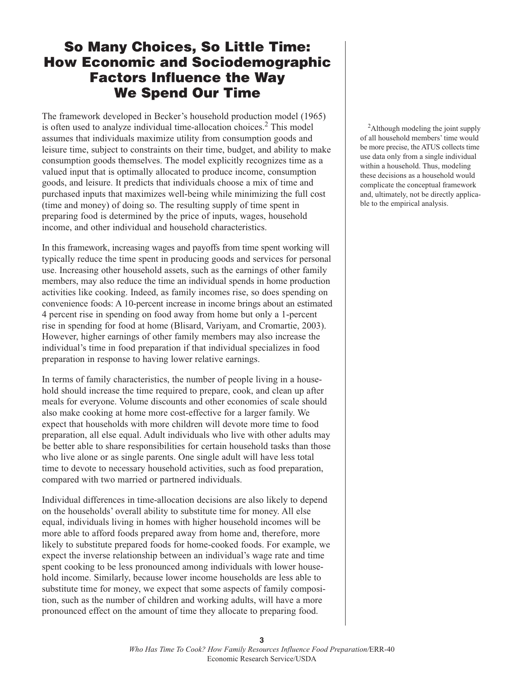## **So Many Choices, So Little Time: How Economic and Sociodemographic Factors Influence the Way We Spend Our Time**

The framework developed in Becker's household production model (1965) is often used to analyze individual time-allocation choices. <sup>2</sup> This model assumes that individuals maximize utility from consumption goods and leisure time, subject to constraints on their time, budget, and ability to make consumption goods themselves. The model explicitly recognizes time as a valued input that is optimally allocated to produce income, consumption goods, and leisure. It predicts that individuals choose a mix of time and purchased inputs that maximizes well-being while minimizing the full cost (time and money) of doing so. The resulting supply of time spent in preparing food is determined by the price of inputs, wages, household income, and other individual and household characteristics.

In this framework, increasing wages and payoffs from time spent working will typically reduce the time spent in producing goods and services for personal use. Increasing other household assets, such as the earnings of other family members, may also reduce the time an individual spends in home production activities like cooking. Indeed, as family incomes rise, so does spending on convenience foods: A 10-percent increase in income brings about an estimated 4 percent rise in spending on food away from home but only a 1-percent rise in spending for food at home (Blisard, Variyam, and Cromartie, 2003). However, higher earnings of other family members may also increase the individual's time in food preparation if that individual specializes in food preparation in response to having lower relative earnings.

In terms of family characteristics, the number of people living in a household should increase the time required to prepare, cook, and clean up after meals for everyone. Volume discounts and other economies of scale should also make cooking at home more cost-effective for a larger family. We expect that households with more children will devote more time to food preparation, all else equal. Adult individuals who live with other adults may be better able to share responsibilities for certain household tasks than those who live alone or as single parents. One single adult will have less total time to devote to necessary household activities, such as food preparation, compared with two married or partnered individuals.

Individual differences in time-allocation decisions are also likely to depend on the households' overall ability to substitute time for money. All else equal, individuals living in homes with higher household incomes will be more able to afford foods prepared away from home and, therefore, more likely to substitute prepared foods for home-cooked foods. For example, we expect the inverse relationship between an individual's wage rate and time spent cooking to be less pronounced among individuals with lower household income. Similarly, because lower income households are less able to substitute time for money, we expect that some aspects of family composition, such as the number of children and working adults, will have a more pronounced effect on the amount of time they allocate to preparing food.

<sup>2</sup>Although modeling the joint supply of all household members' time would be more precise, the ATUS collects time use data only from a single individual within a household. Thus, modeling these decisions as a household would complicate the conceptual framework and, ultimately, not be directly applicable to the empirical analysis.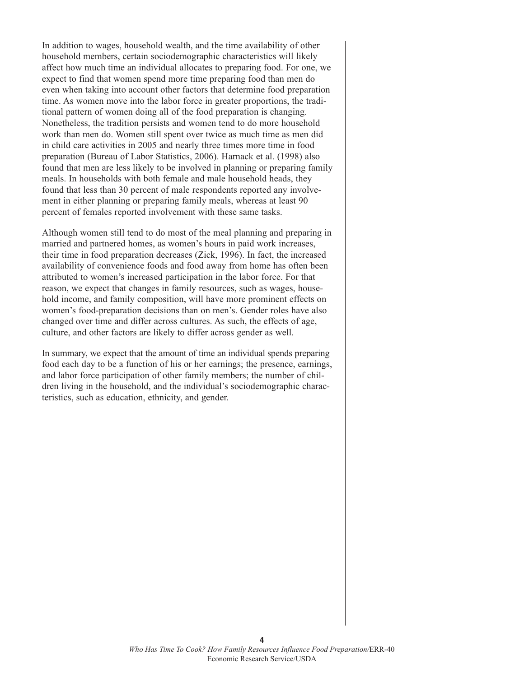In addition to wages, household wealth, and the time availability of other household members, certain sociodemographic characteristics will likely affect how much time an individual allocates to preparing food. For one, we expect to find that women spend more time preparing food than men do even when taking into account other factors that determine food preparation time. As women move into the labor force in greater proportions, the traditional pattern of women doing all of the food preparation is changing. Nonetheless, the tradition persists and women tend to do more household work than men do. Women still spent over twice as much time as men did in child care activities in 2005 and nearly three times more time in food preparation (Bureau of Labor Statistics, 2006). Harnack et al. (1998) also found that men are less likely to be involved in planning or preparing family meals. In households with both female and male household heads, they found that less than 30 percent of male respondents reported any involvement in either planning or preparing family meals, whereas at least 90 percent of females reported involvement with these same tasks.

Although women still tend to do most of the meal planning and preparing in married and partnered homes, as women's hours in paid work increases, their time in food preparation decreases (Zick, 1996). In fact, the increased availability of convenience foods and food away from home has often been attributed to women's increased participation in the labor force. For that reason, we expect that changes in family resources, such as wages, household income, and family composition, will have more prominent effects on women's food-preparation decisions than on men's. Gender roles have also changed over time and differ across cultures. As such, the effects of age, culture, and other factors are likely to differ across gender as well.

In summary, we expect that the amount of time an individual spends preparing food each day to be a function of his or her earnings; the presence, earnings, and labor force participation of other family members; the number of children living in the household, and the individual's sociodemographic characteristics, such as education, ethnicity, and gender.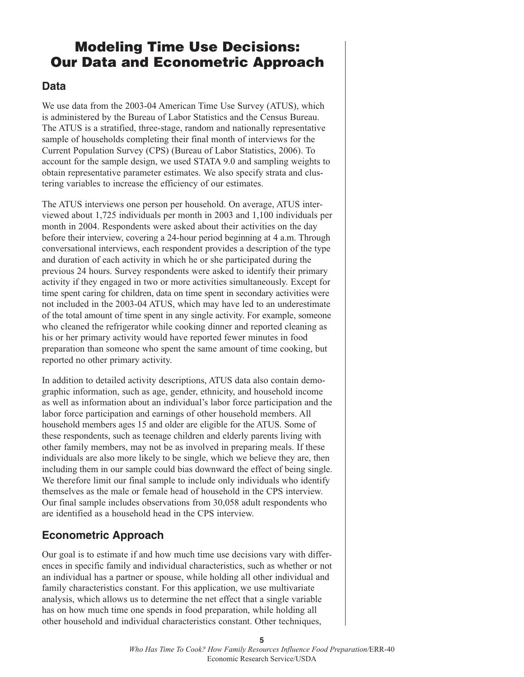## **Modeling Time Use Decisions: Our Data and Econometric Approach**

#### **Data**

We use data from the 2003-04 American Time Use Survey (ATUS), which is administered by the Bureau of Labor Statistics and the Census Bureau. The ATUS is a stratified, three-stage, random and nationally representative sample of households completing their final month of interviews for the Current Population Survey (CPS) (Bureau of Labor Statistics, 2006). To account for the sample design, we used STATA 9.0 and sampling weights to obtain representative parameter estimates. We also specify strata and clustering variables to increase the efficiency of our estimates.

The ATUS interviews one person per household. On average, ATUS interviewed about 1,725 individuals per month in 2003 and 1,100 individuals per month in 2004. Respondents were asked about their activities on the day before their interview, covering a 24-hour period beginning at 4 a.m. Through conversational interviews, each respondent provides a description of the type and duration of each activity in which he or she participated during the previous 24 hours. Survey respondents were asked to identify their primary activity if they engaged in two or more activities simultaneously. Except for time spent caring for children, data on time spent in secondary activities were not included in the 2003-04 ATUS, which may have led to an underestimate of the total amount of time spent in any single activity. For example, someone who cleaned the refrigerator while cooking dinner and reported cleaning as his or her primary activity would have reported fewer minutes in food preparation than someone who spent the same amount of time cooking, but reported no other primary activity.

In addition to detailed activity descriptions, ATUS data also contain demographic information, such as age, gender, ethnicity, and household income as well as information about an individual's labor force participation and the labor force participation and earnings of other household members. All household members ages 15 and older are eligible for the ATUS. Some of these respondents, such as teenage children and elderly parents living with other family members, may not be as involved in preparing meals. If these individuals are also more likely to be single, which we believe they are, then including them in our sample could bias downward the effect of being single. We therefore limit our final sample to include only individuals who identify themselves as the male or female head of household in the CPS interview. Our final sample includes observations from 30,058 adult respondents who are identified as a household head in the CPS interview.

### **Econometric Approach**

Our goal is to estimate if and how much time use decisions vary with differences in specific family and individual characteristics, such as whether or not an individual has a partner or spouse, while holding all other individual and family characteristics constant. For this application, we use multivariate analysis, which allows us to determine the net effect that a single variable has on how much time one spends in food preparation, while holding all other household and individual characteristics constant. Other techniques,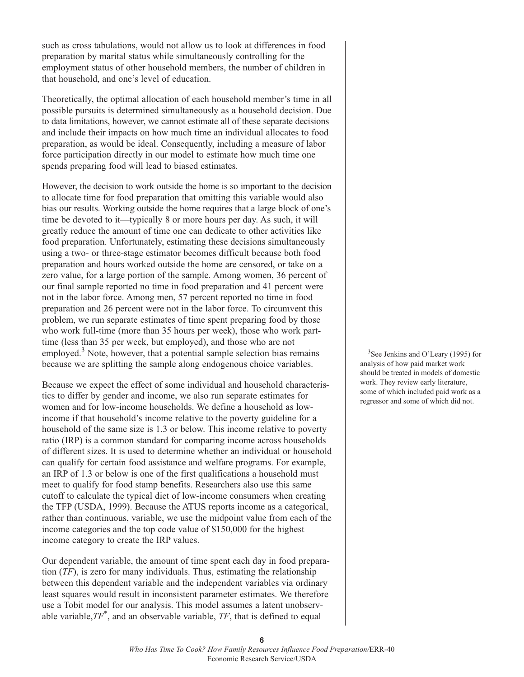such as cross tabulations, would not allow us to look at differences in food preparation by marital status while simultaneously controlling for the employment status of other household members, the number of children in that household, and one's level of education.

Theoretically, the optimal allocation of each household member's time in all possible pursuits is determined simultaneously as a household decision. Due to data limitations, however, we cannot estimate all of these separate decisions and include their impacts on how much time an individual allocates to food preparation, as would be ideal. Consequently, including a measure of labor force participation directly in our model to estimate how much time one spends preparing food will lead to biased estimates.

However, the decision to work outside the home is so important to the decision to allocate time for food preparation that omitting this variable would also bias our results. Working outside the home requires that a large block of one's time be devoted to it—typically 8 or more hours per day. As such, it will greatly reduce the amount of time one can dedicate to other activities like food preparation. Unfortunately, estimating these decisions simultaneously using a two- or three-stage estimator becomes difficult because both food preparation and hours worked outside the home are censored, or take on a zero value, for a large portion of the sample. Among women, 36 percent of our final sample reported no time in food preparation and 41 percent were not in the labor force. Among men, 57 percent reported no time in food preparation and 26 percent were not in the labor force. To circumvent this problem, we run separate estimates of time spent preparing food by those who work full-time (more than 35 hours per week), those who work parttime (less than 35 per week, but employed), and those who are not employed.<sup>3</sup> Note, however, that a potential sample selection bias remains because we are splitting the sample along endogenous choice variables.

Because we expect the effect of some individual and household characteristics to differ by gender and income, we also run separate estimates for women and for low-income households. We define a household as lowincome if that household's income relative to the poverty guideline for a household of the same size is 1.3 or below. This income relative to poverty ratio (IRP) is a common standard for comparing income across households of different sizes. It is used to determine whether an individual or household can qualify for certain food assistance and welfare programs. For example, an IRP of 1.3 or below is one of the first qualifications a household must meet to qualify for food stamp benefits. Researchers also use this same cutoff to calculate the typical diet of low-income consumers when creating the TFP (USDA, 1999). Because the ATUS reports income as a categorical, rather than continuous, variable, we use the midpoint value from each of the income categories and the top code value of \$150,000 for the highest income category to create the IRP values.

Our dependent variable, the amount of time spent each day in food preparation (*TF*), is zero for many individuals. Thus, estimating the relationship between this dependent variable and the independent variables via ordinary least squares would result in inconsistent parameter estimates. We therefore use a Tobit model for our analysis. This model assumes a latent unobservable variable,*TF\** , and an observable variable, *TF*, that is defined to equal

<sup>3</sup>See Jenkins and O'Leary (1995) for analysis of how paid market work should be treated in models of domestic work. They review early literature, some of which included paid work as a regressor and some of which did not.

**<sup>6</sup>**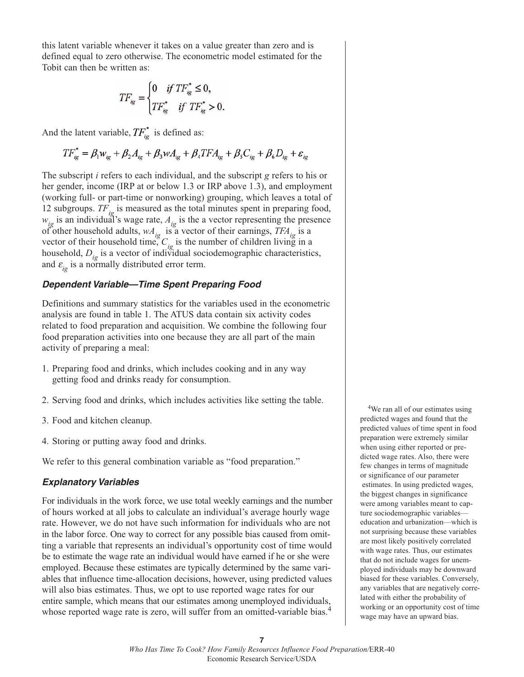this latent variable whenever it takes on a value greater than zero and is defined equal to zero otherwise. The econometric model estimated for the Tobit can then be written as:

$$
TF_{ig} = \begin{cases} 0 & if TF_{ig}^* \le 0, \\ TF_{ig}^* & if TF_{ig}^* > 0. \end{cases}
$$

And the latent variable,  $TF_{i}^*$  is defined as:

$$
TF_{ig}^* = \beta_1 w_{ig} + \beta_2 A_{ig} + \beta_3 w A_{ig} + \beta_4 T F A_{ig} + \beta_5 C_{ig} + \beta_6 D_{ig} + \varepsilon_{ig}
$$

The subscript *i* refers to each individual, and the subscript *g* refers to his or her gender, income (IRP at or below 1.3 or IRP above 1.3), and employment (working full- or part-time or nonworking) grouping, which leaves a total of 12 subgroups.  $TF_{ig}$  is measured as the total minutes spent in preparing food,  $w_{ig}$  is an individual's wage rate,  $A_{ig}$  is the a vector representing the presence of other household adults,  $wA_{ig}$  is a vector of their earnings,  $TFA_{ig}$  is a vector of their household time,  $C_{ig}$  is the number of children living in a household,  $D_{ig}$  is a vector of individual sociodemographic characteristics, and  $\varepsilon_{ig}$  is a normally distributed error term.

#### *Dependent Variable—Time Spent Preparing Food*

Definitions and summary statistics for the variables used in the econometric analysis are found in table 1. The ATUS data contain six activity codes related to food preparation and acquisition. We combine the following four food preparation activities into one because they are all part of the main activity of preparing a meal:

- 1. Preparing food and drinks, which includes cooking and in any way getting food and drinks ready for consumption.
- 2. Serving food and drinks, which includes activities like setting the table.
- 3. Food and kitchen cleanup.
- 4. Storing or putting away food and drinks.

We refer to this general combination variable as "food preparation."

#### *Explanatory Variables*

For individuals in the work force, we use total weekly earnings and the number of hours worked at all jobs to calculate an individual's average hourly wage rate. However, we do not have such information for individuals who are not in the labor force. One way to correct for any possible bias caused from omitting a variable that represents an individual's opportunity cost of time would be to estimate the wage rate an individual would have earned if he or she were employed. Because these estimates are typically determined by the same variables that influence time-allocation decisions, however, using predicted values will also bias estimates. Thus, we opt to use reported wage rates for our entire sample, which means that our estimates among unemployed individuals, whose reported wage rate is zero, will suffer from an omitted-variable bias.<sup>4</sup>

<sup>4</sup>We ran all of our estimates using predicted wages and found that the predicted values of time spent in food preparation were extremely similar when using either reported or predicted wage rates. Also, there were few changes in terms of magnitude or significance of our parameter estimates. In using predicted wages, the biggest changes in significance were among variables meant to capture sociodemographic variables education and urbanization—which is not surprising because these variables are most likely positively correlated with wage rates. Thus, our estimates that do not include wages for unemployed individuals may be downward biased for these variables. Conversely, any variables that are negatively correlated with either the probability of working or an opportunity cost of time wage may have an upward bias.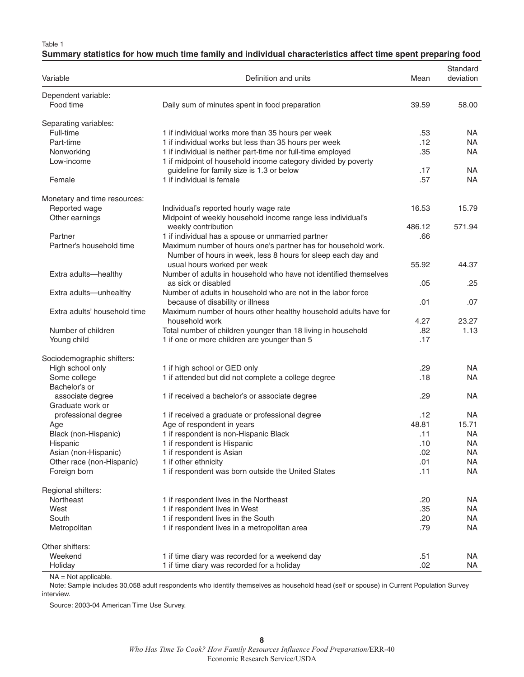Table 1

|  |  | Summary statistics for how much time family and individual characteristics affect time spent preparing food |  |  |
|--|--|-------------------------------------------------------------------------------------------------------------|--|--|

| Variable                             | Definition and units                                                                                                          | Mean   | Standard<br>deviation |
|--------------------------------------|-------------------------------------------------------------------------------------------------------------------------------|--------|-----------------------|
| Dependent variable:<br>Food time     | Daily sum of minutes spent in food preparation                                                                                | 39.59  | 58.00                 |
| Separating variables:                |                                                                                                                               |        |                       |
| Full-time                            | 1 if individual works more than 35 hours per week                                                                             | .53    | <b>NA</b>             |
| Part-time                            | 1 if individual works but less than 35 hours per week                                                                         | .12    | NA.                   |
| Nonworking                           | 1 if individual is neither part-time nor full-time employed                                                                   | .35    | NA.                   |
| Low-income                           | 1 if midpoint of household income category divided by poverty<br>guideline for family size is 1.3 or below                    | .17    | <b>NA</b>             |
| Female                               | 1 if individual is female                                                                                                     | .57    | NA                    |
| Monetary and time resources:         |                                                                                                                               |        |                       |
| Reported wage                        | Individual's reported hourly wage rate                                                                                        | 16.53  | 15.79                 |
| Other earnings                       | Midpoint of weekly household income range less individual's<br>weekly contribution                                            | 486.12 | 571.94                |
| Partner                              | 1 if individual has a spouse or unmarried partner                                                                             | .66    |                       |
| Partner's household time             | Maximum number of hours one's partner has for household work.<br>Number of hours in week, less 8 hours for sleep each day and |        |                       |
|                                      | usual hours worked per week                                                                                                   | 55.92  | 44.37                 |
| Extra adults-healthy                 | Number of adults in household who have not identified themselves<br>as sick or disabled                                       | .05    | .25                   |
| Extra adults-unhealthy               | Number of adults in household who are not in the labor force<br>because of disability or illness                              | .01    | .07                   |
| Extra adults' household time         | Maximum number of hours other healthy household adults have for<br>household work                                             | 4.27   | 23.27                 |
| Number of children                   | Total number of children younger than 18 living in household                                                                  | .82    | 1.13                  |
| Young child                          | 1 if one or more children are younger than 5                                                                                  | .17    |                       |
| Sociodemographic shifters:           |                                                                                                                               |        |                       |
| High school only                     | 1 if high school or GED only                                                                                                  | .29    | NA.                   |
| Some college                         | 1 if attended but did not complete a college degree                                                                           | .18    | NA.                   |
| Bachelor's or                        |                                                                                                                               |        |                       |
| associate degree<br>Graduate work or | 1 if received a bachelor's or associate degree                                                                                | .29    | <b>NA</b>             |
| professional degree                  | 1 if received a graduate or professional degree                                                                               | .12    | NA                    |
| Age                                  | Age of respondent in years                                                                                                    | 48.81  | 15.71                 |
| Black (non-Hispanic)                 | 1 if respondent is non-Hispanic Black                                                                                         | .11    | <b>NA</b>             |
| Hispanic                             | 1 if respondent is Hispanic                                                                                                   | .10    | <b>NA</b>             |
| Asian (non-Hispanic)                 | 1 if respondent is Asian                                                                                                      | .02    | NA.                   |
| Other race (non-Hispanic)            | 1 if other ethnicity                                                                                                          | .01    | NA.                   |
| Foreign born                         | 1 if respondent was born outside the United States                                                                            | .11    | NA                    |
| Regional shifters:                   |                                                                                                                               |        |                       |
| Northeast                            | 1 if respondent lives in the Northeast                                                                                        | .20    | NA.                   |
| West                                 | 1 if respondent lives in West                                                                                                 | .35    | NA.                   |
| South                                | 1 if respondent lives in the South                                                                                            | .20    | NA.                   |
| Metropolitan                         | 1 if respondent lives in a metropolitan area                                                                                  | .79    | NA                    |
| Other shifters:                      |                                                                                                                               |        |                       |
| Weekend                              | 1 if time diary was recorded for a weekend day                                                                                | .51    | NA.                   |
| Holiday                              | 1 if time diary was recorded for a holiday                                                                                    | .02    | NA                    |

NA = Not applicable.

Note: Sample includes 30,058 adult respondents who identify themselves as household head (self or spouse) in Current Population Survey interview.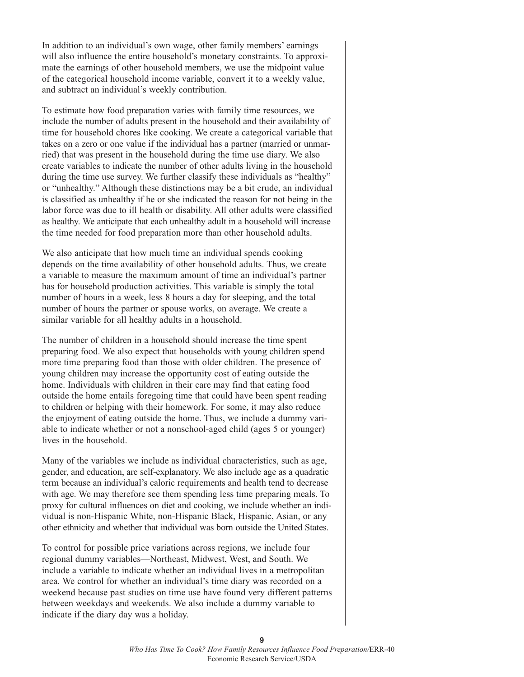In addition to an individual's own wage, other family members' earnings will also influence the entire household's monetary constraints. To approximate the earnings of other household members, we use the midpoint value of the categorical household income variable, convert it to a weekly value, and subtract an individual's weekly contribution.

To estimate how food preparation varies with family time resources, we include the number of adults present in the household and their availability of time for household chores like cooking. We create a categorical variable that takes on a zero or one value if the individual has a partner (married or unmarried) that was present in the household during the time use diary. We also create variables to indicate the number of other adults living in the household during the time use survey. We further classify these individuals as "healthy" or "unhealthy." Although these distinctions may be a bit crude, an individual is classified as unhealthy if he or she indicated the reason for not being in the labor force was due to ill health or disability. All other adults were classified as healthy. We anticipate that each unhealthy adult in a household will increase the time needed for food preparation more than other household adults.

We also anticipate that how much time an individual spends cooking depends on the time availability of other household adults. Thus, we create a variable to measure the maximum amount of time an individual's partner has for household production activities. This variable is simply the total number of hours in a week, less 8 hours a day for sleeping, and the total number of hours the partner or spouse works, on average. We create a similar variable for all healthy adults in a household.

The number of children in a household should increase the time spent preparing food. We also expect that households with young children spend more time preparing food than those with older children. The presence of young children may increase the opportunity cost of eating outside the home. Individuals with children in their care may find that eating food outside the home entails foregoing time that could have been spent reading to children or helping with their homework. For some, it may also reduce the enjoyment of eating outside the home. Thus, we include a dummy variable to indicate whether or not a nonschool-aged child (ages 5 or younger) lives in the household.

Many of the variables we include as individual characteristics, such as age, gender, and education, are self-explanatory. We also include age as a quadratic term because an individual's caloric requirements and health tend to decrease with age. We may therefore see them spending less time preparing meals. To proxy for cultural influences on diet and cooking, we include whether an individual is non-Hispanic White, non-Hispanic Black, Hispanic, Asian, or any other ethnicity and whether that individual was born outside the United States.

To control for possible price variations across regions, we include four regional dummy variables—Northeast, Midwest, West, and South. We include a variable to indicate whether an individual lives in a metropolitan area. We control for whether an individual's time diary was recorded on a weekend because past studies on time use have found very different patterns between weekdays and weekends. We also include a dummy variable to indicate if the diary day was a holiday.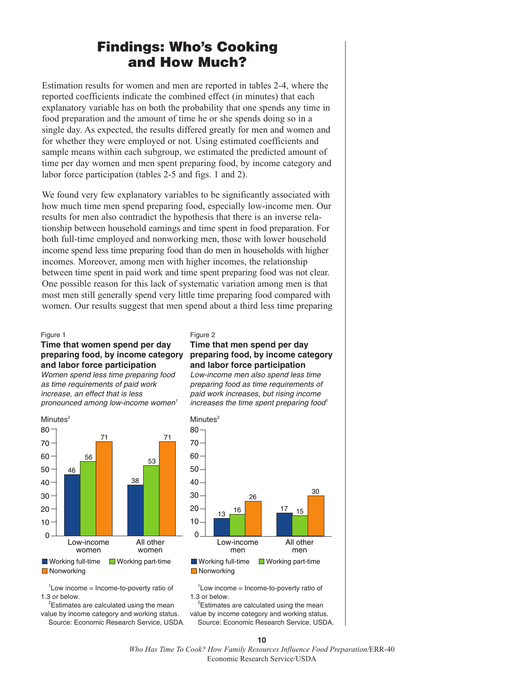## **Findings: Who's Cooking and How Much?**

Estimation results for women and men are reported in tables 2-4, where the reported coefficients indicate the combined effect (in minutes) that each explanatory variable has on both the probability that one spends any time in food preparation and the amount of time he or she spends doing so in a single day. As expected, the results differed greatly for men and women and for whether they were employed or not. Using estimated coefficients and sample means within each subgroup, we estimated the predicted amount of time per day women and men spent preparing food, by income category and labor force participation (tables 2-5 and figs. 1 and 2).

We found very few explanatory variables to be significantly associated with how much time men spend preparing food, especially low-income men. Our results for men also contradict the hypothesis that there is an inverse relationship between household earnings and time spent in food preparation. For both full-time employed and nonworking men, those with lower household income spend less time preparing food than do men in households with higher incomes. Moreover, among men with higher incomes, the relationship between time spent in paid work and time spent preparing food was not clear. One possible reason for this lack of systematic variation among men is that most men still generally spend very little time preparing food compared with women. Our results suggest that men spend about a third less time preparing

#### Figure 1

#### **Time that women spend per day preparing food, by income category and labor force participation**

*Women spend less time preparing food as time requirements of paid work increase, an effect that is less pronounced among low-income women1*



 $1$ Low income = Income-to-poverty ratio of 1.3 or below.

<sup>2</sup>Estimates are calculated using the mean value by income category and working status. Source: Economic Research Service, USDA.

#### Figure 2

#### **Time that men spend per day preparing food, by income category and labor force participation**

*Low-income men also spend less time preparing food as time requirements of paid work increases, but rising income increases the time spent preparing food<sup>1</sup>* 



 $1$ Low income = Income-to-poverty ratio of 1.3 or below.

<sup>2</sup>Estimates are calculated using the mean value by income category and working status. Source: Economic Research Service, USDA.

**10**

*Who Has Time To Cook? How Family Resources Influence Food Preparation/*ERR-40 Economic Research Service/USDA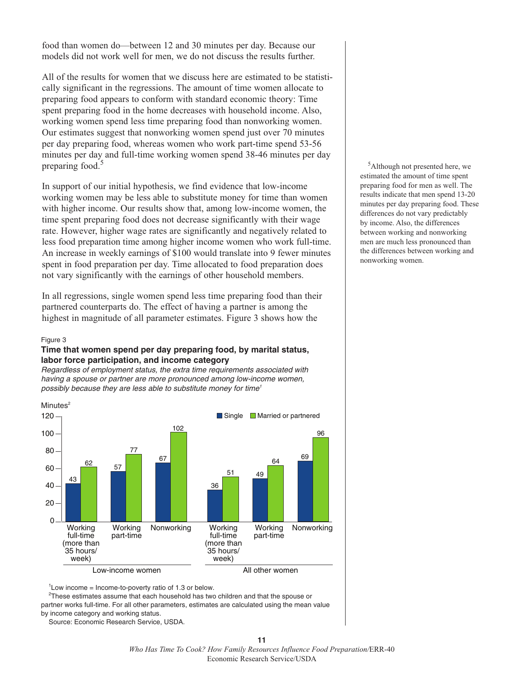food than women do—between 12 and 30 minutes per day. Because our models did not work well for men, we do not discuss the results further.

All of the results for women that we discuss here are estimated to be statistically significant in the regressions. The amount of time women allocate to preparing food appears to conform with standard economic theory: Time spent preparing food in the home decreases with household income. Also, working women spend less time preparing food than nonworking women. Our estimates suggest that nonworking women spend just over 70 minutes per day preparing food, whereas women who work part-time spend 53-56 minutes per day and full-time working women spend 38-46 minutes per day preparing food. 5

In support of our initial hypothesis, we find evidence that low-income working women may be less able to substitute money for time than women with higher income. Our results show that, among low-income women, the time spent preparing food does not decrease significantly with their wage rate. However, higher wage rates are significantly and negatively related to less food preparation time among higher income women who work full-time. An increase in weekly earnings of \$100 would translate into 9 fewer minutes spent in food preparation per day. Time allocated to food preparation does not vary significantly with the earnings of other household members.

In all regressions, single women spend less time preparing food than their partnered counterparts do. The effect of having a partner is among the highest in magnitude of all parameter estimates. Figure 3 shows how the

#### Figure 3

#### **Time that women spend per day preparing food, by marital status, labor force participation, and income category**

*Regardless of employment status, the extra time requirements associated with having a spouse or partner are more pronounced among low-income women, possibly because they are less able to substitute money for time1*



 $1$ Low income = Income-to-poverty ratio of 1.3 or below.

 $^{2}$ These estimates assume that each household has two children and that the spouse or partner works full-time. For all other parameters, estimates are calculated using the mean value by income category and working status.

Source: Economic Research Service, USDA.

5 Although not presented here, we estimated the amount of time spent preparing food for men as well. The results indicate that men spend 13-20 minutes per day preparing food. These differences do not vary predictably by income. Also, the differences between working and nonworking men are much less pronounced than the differences between working and nonworking women.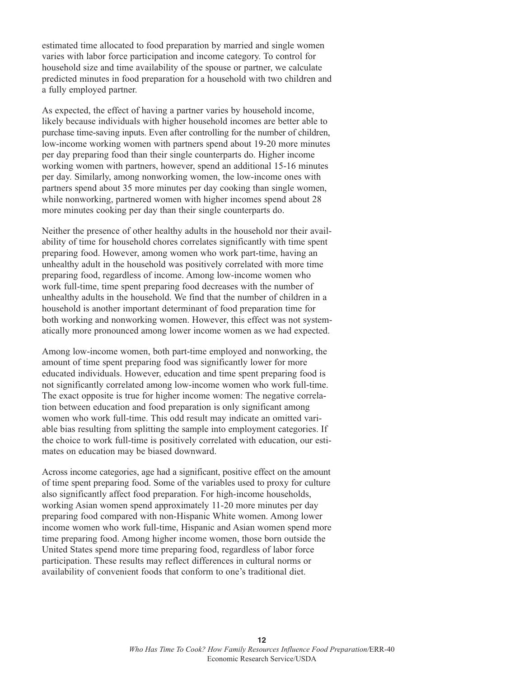estimated time allocated to food preparation by married and single women varies with labor force participation and income category. To control for household size and time availability of the spouse or partner, we calculate predicted minutes in food preparation for a household with two children and a fully employed partner.

As expected, the effect of having a partner varies by household income, likely because individuals with higher household incomes are better able to purchase time-saving inputs. Even after controlling for the number of children, low-income working women with partners spend about 19-20 more minutes per day preparing food than their single counterparts do. Higher income working women with partners, however, spend an additional 15-16 minutes per day. Similarly, among nonworking women, the low-income ones with partners spend about 35 more minutes per day cooking than single women, while nonworking, partnered women with higher incomes spend about 28 more minutes cooking per day than their single counterparts do.

Neither the presence of other healthy adults in the household nor their availability of time for household chores correlates significantly with time spent preparing food. However, among women who work part-time, having an unhealthy adult in the household was positively correlated with more time preparing food, regardless of income. Among low-income women who work full-time, time spent preparing food decreases with the number of unhealthy adults in the household. We find that the number of children in a household is another important determinant of food preparation time for both working and nonworking women. However, this effect was not systematically more pronounced among lower income women as we had expected.

Among low-income women, both part-time employed and nonworking, the amount of time spent preparing food was significantly lower for more educated individuals. However, education and time spent preparing food is not significantly correlated among low-income women who work full-time. The exact opposite is true for higher income women: The negative correlation between education and food preparation is only significant among women who work full-time. This odd result may indicate an omitted variable bias resulting from splitting the sample into employment categories. If the choice to work full-time is positively correlated with education, our estimates on education may be biased downward.

Across income categories, age had a significant, positive effect on the amount of time spent preparing food. Some of the variables used to proxy for culture also significantly affect food preparation. For high-income households, working Asian women spend approximately 11-20 more minutes per day preparing food compared with non-Hispanic White women. Among lower income women who work full-time, Hispanic and Asian women spend more time preparing food. Among higher income women, those born outside the United States spend more time preparing food, regardless of labor force participation. These results may reflect differences in cultural norms or availability of convenient foods that conform to one's traditional diet.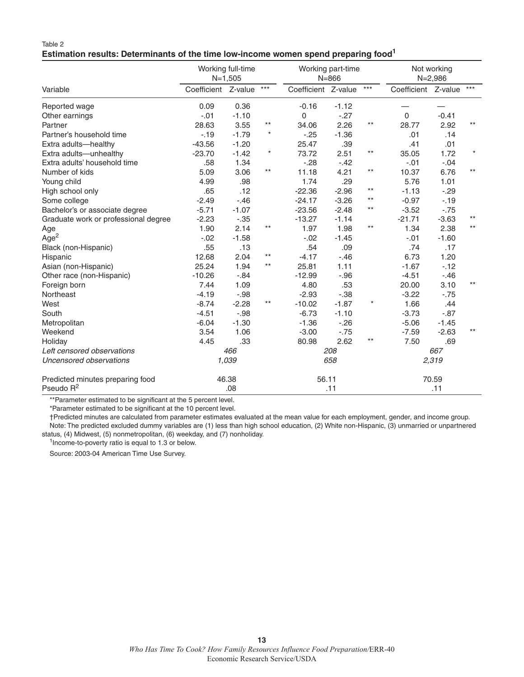#### Table 2 **Estimation results: Determinants of the time low-income women spend preparing food<sup>1</sup>**

|                                      | Working full-time<br>$N=1,505$ |         |              |                     | Working part-time<br>$N = 866$ |       |                     | Not working<br>$N = 2,986$ |              |  |  |
|--------------------------------------|--------------------------------|---------|--------------|---------------------|--------------------------------|-------|---------------------|----------------------------|--------------|--|--|
| Variable                             | Coefficient Z-value            |         | $***$        | Coefficient Z-value |                                | $***$ | Coefficient Z-value |                            | $***$        |  |  |
| Reported wage                        | 0.09                           | 0.36    |              | $-0.16$             | $-1.12$                        |       |                     |                            |              |  |  |
| Other earnings                       | $-.01$                         | $-1.10$ |              | 0                   | $-.27$                         |       | $\mathbf{0}$        | $-0.41$                    |              |  |  |
| Partner                              | 28.63                          | 3.55    | $***$        | 34.06               | 2.26                           | $***$ | 28.77               | 2.92                       | $***$        |  |  |
| Partner's household time             | $-19$                          | $-1.79$ | $\star$      | $-25$               | $-1.36$                        |       | .01                 | .14                        |              |  |  |
| Extra adults-healthy                 | $-43.56$                       | $-1.20$ |              | 25.47               | .39                            |       | .41                 | .01                        |              |  |  |
| Extra adults-unhealthy               | $-23.70$                       | $-1.42$ | $^\star$     | 73.72               | 2.51                           | $***$ | 35.05               | 1.72                       | $\star$      |  |  |
| Extra adults' household time         | .58                            | 1.34    |              | $-28$               | $-.42$                         |       | $-.01$              | $-.04$                     |              |  |  |
| Number of kids                       | 5.09                           | 3.06    | $\star\star$ | 11.18               | 4.21                           | $***$ | 10.37               | 6.76                       | $***$        |  |  |
| Young child                          | 4.99                           | .98     |              | 1.74                | .29                            |       | 5.76                | 1.01                       |              |  |  |
| High school only                     | .65                            | .12     |              | $-22.36$            | $-2.96$                        | $***$ | $-1.13$             | $-29$                      |              |  |  |
| Some college                         | $-2.49$                        | $-.46$  |              | $-24.17$            | $-3.26$                        | $***$ | $-0.97$             | $-19$                      |              |  |  |
| Bachelor's or associate degree       | $-5.71$                        | $-1.07$ |              | $-23.56$            | $-2.48$                        | $***$ | $-3.52$             | $-.75$                     |              |  |  |
| Graduate work or professional degree | $-2.23$                        | $-.35$  |              | $-13.27$            | $-1.14$                        |       | $-21.71$            | $-3.63$                    | $***$        |  |  |
| Age                                  | 1.90                           | 2.14    | $***$        | 1.97                | 1.98                           | $***$ | 1.34                | 2.38                       | $\star\star$ |  |  |
| Age <sup>2</sup>                     | $-.02$                         | $-1.58$ |              | $-0.02$             | $-1.45$                        |       | $-.01$              | $-1.60$                    |              |  |  |
| Black (non-Hispanic)                 | .55                            | .13     |              | .54                 | .09                            |       | .74                 | .17                        |              |  |  |
| Hispanic                             | 12.68                          | 2.04    | $***$        | $-4.17$             | $-.46$                         |       | 6.73                | 1.20                       |              |  |  |
| Asian (non-Hispanic)                 | 25.24                          | 1.94    | $***$        | 25.81               | 1.11                           |       | $-1.67$             | $-12$                      |              |  |  |
| Other race (non-Hispanic)            | $-10.26$                       | $-.84$  |              | $-12.99$            | $-.96$                         |       | $-4.51$             | $-.46$                     |              |  |  |
| Foreign born                         | 7.44                           | 1.09    |              | 4.80                | .53                            |       | 20.00               | 3.10                       | $***$        |  |  |
| Northeast                            | $-4.19$                        | $-.98$  |              | $-2.93$             | $-.38$                         |       | $-3.22$             | $-.75$                     |              |  |  |
| West                                 | $-8.74$                        | $-2.28$ | $***$        | $-10.02$            | $-1.87$                        |       | 1.66                | .44                        |              |  |  |
| South                                | $-4.51$                        | $-.98$  |              | $-6.73$             | $-1.10$                        |       | $-3.73$             | $-0.87$                    |              |  |  |
| Metropolitan                         | $-6.04$                        | $-1.30$ |              | $-1.36$             | $-26$                          |       | $-5.06$             | $-1.45$                    |              |  |  |
| Weekend                              | 3.54                           | 1.06    |              | $-3.00$             | $-.75$                         |       | $-7.59$             | $-2.63$                    | $***$        |  |  |
| Holiday                              | 4.45                           | .33     |              | 80.98               | 2.62                           | $***$ | 7.50                | .69                        |              |  |  |
| Left censored observations           |                                | 466     |              | 208                 |                                |       | 667                 |                            |              |  |  |
| Uncensored observations              | 1,039                          |         |              | 658                 |                                |       | 2,319               |                            |              |  |  |
| Predicted minutes preparing food     |                                | 46.38   |              | 56.11               |                                |       | 70.59               |                            |              |  |  |
| Pseudo $R^2$                         | .08                            |         |              |                     | .11                            |       |                     | .11                        |              |  |  |

\*\*Parameter estimated to be significant at the 5 percent level.

\*Parameter estimated to be significant at the 10 percent level.

†Predicted minutes are calculated from parameter estimates evaluated at the mean value for each employment, gender, and income group. Note: The predicted excluded dummy variables are (1) less than high school education, (2) White non-Hispanic, (3) unmarried or unpartnered status, (4) Midwest, (5) nonmetropolitan, (6) weekday, and (7) nonholiday.

<sup>1</sup> Income-to-poverty ratio is equal to 1.3 or below.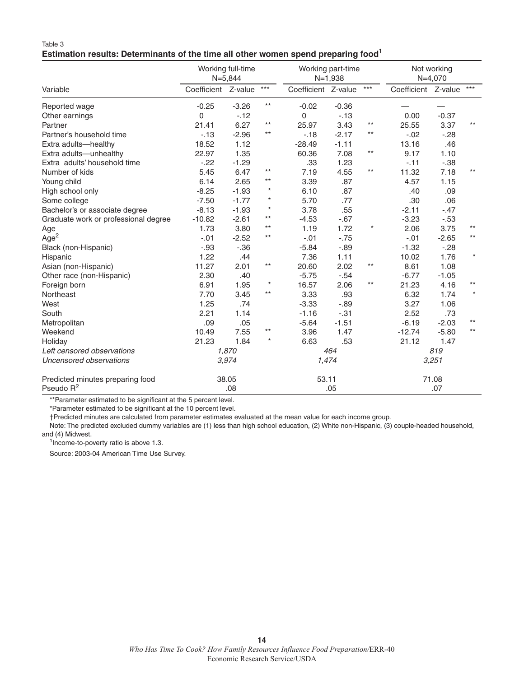#### Table 3 **Estimation results: Determinants of the time all other women spend preparing food1**

|                                      | Working full-time<br>$N = 5,844$ |         |                   |                     | Working part-time<br>$N=1,938$ |         |                     | Not working<br>$N=4,070$ |         |  |
|--------------------------------------|----------------------------------|---------|-------------------|---------------------|--------------------------------|---------|---------------------|--------------------------|---------|--|
| Variable                             | Coefficient Z-value              |         | $\star\star\star$ | Coefficient Z-value |                                | $***$   | Coefficient Z-value |                          | $***$   |  |
| Reported wage                        | $-0.25$                          | $-3.26$ | $***$             | $-0.02$             | $-0.36$                        |         |                     |                          |         |  |
| Other earnings                       | 0                                | $-12$   |                   | 0                   | $-13$                          |         | 0.00                | $-0.37$                  |         |  |
| Partner                              | 21.41                            | 6.27    | $***$             | 25.97               | 3.43                           | $***$   | 25.55               | 3.37                     | $***$   |  |
| Partner's household time             | $-13$                            | $-2.96$ | $***$             | $-18$               | $-2.17$                        | $***$   | $-.02$              | $-28$                    |         |  |
| Extra adults-healthy                 | 18.52                            | 1.12    |                   | $-28.49$            | $-1.11$                        |         | 13.16               | .46                      |         |  |
| Extra adults-unhealthy               | 22.97                            | 1.35    |                   | 60.36               | 7.08                           | $***$   | 9.17                | 1.10                     |         |  |
| Extra adults' household time         | $-22$                            | $-1.29$ |                   | .33                 | 1.23                           |         | $-.11$              | $-.38$                   |         |  |
| Number of kids                       | 5.45                             | 6.47    | $***$             | 7.19                | 4.55                           | $***$   | 11.32               | 7.18                     | $***$   |  |
| Young child                          | 6.14                             | 2.65    | $***$             | 3.39                | .87                            |         | 4.57                | 1.15                     |         |  |
| High school only                     | $-8.25$                          | $-1.93$ | $\star$           | 6.10                | .87                            |         | .40                 | .09                      |         |  |
| Some college                         | $-7.50$                          | $-1.77$ | $^\star$          | 5.70                | .77                            |         | .30                 | .06                      |         |  |
| Bachelor's or associate degree       | $-8.13$                          | $-1.93$ | $^\star$          | 3.78                | .55                            |         | $-2.11$             | $-.47$                   |         |  |
| Graduate work or professional degree | $-10.82$                         | $-2.61$ | $***$             | $-4.53$             | $-.67$                         |         | $-3.23$             | $-.53$                   |         |  |
| Age                                  | 1.73                             | 3.80    | $***$             | 1.19                | 1.72                           | $\star$ | 2.06                | 3.75                     | $***$   |  |
| Age <sup>2</sup>                     | $-.01$                           | $-2.52$ | $***$             | $-.01$              | $-.75$                         |         | $-.01$              | $-2.65$                  | $***$   |  |
| Black (non-Hispanic)                 | $-0.93$                          | $-.36$  |                   | $-5.84$             | $-0.89$                        |         | $-1.32$             | $-28$                    |         |  |
| Hispanic                             | 1.22                             | .44     |                   | 7.36                | 1.11                           |         | 10.02               | 1.76                     | $\star$ |  |
| Asian (non-Hispanic)                 | 11.27                            | 2.01    | $^{\star\star}$   | 20.60               | 2.02                           | $***$   | 8.61                | 1.08                     |         |  |
| Other race (non-Hispanic)            | 2.30                             | .40     |                   | $-5.75$             | $-.54$                         |         | $-6.77$             | $-1.05$                  |         |  |
| Foreign born                         | 6.91                             | 1.95    | $\star$           | 16.57               | 2.06                           | $***$   | 21.23               | 4.16                     | $***$   |  |
| Northeast                            | 7.70                             | 3.45    | $***$             | 3.33                | .93                            |         | 6.32                | 1.74                     | $\star$ |  |
| West                                 | 1.25                             | .74     |                   | $-3.33$             | $-0.89$                        |         | 3.27                | 1.06                     |         |  |
| South                                | 2.21                             | 1.14    |                   | $-1.16$             | $-.31$                         |         | 2.52                | .73                      |         |  |
| Metropolitan                         | .09                              | .05     |                   | $-5.64$             | $-1.51$                        |         | $-6.19$             | $-2.03$                  | $***$   |  |
| Weekend                              | 10.49                            | 7.55    | $***$             | 3.96                | 1.47                           |         | $-12.74$            | $-5.80$                  | $***$   |  |
| Holiday                              | 21.23                            | 1.84    | $\star$           | 6.63                | .53                            |         | 21.12               | 1.47                     |         |  |
| Left censored observations           |                                  | 1,870   |                   | 464                 |                                |         | 819                 |                          |         |  |
| Uncensored observations              |                                  | 3,974   |                   | 1,474               |                                |         | 3,251               |                          |         |  |
| Predicted minutes preparing food     |                                  | 38.05   |                   | 53.11               |                                |         |                     | 71.08                    |         |  |
| Pseudo $R^2$                         | .08                              |         |                   |                     | .05                            |         | .07                 |                          |         |  |

\*\*Parameter estimated to be significant at the 5 percent level.

\*Parameter estimated to be significant at the 10 percent level.

†Predicted minutes are calculated from parameter estimates evaluated at the mean value for each income group.

Note: The predicted excluded dummy variables are (1) less than high school education, (2) White non-Hispanic, (3) couple-headed household, and (4) Midwest.

<sup>1</sup>Income-to-poverty ratio is above 1.3.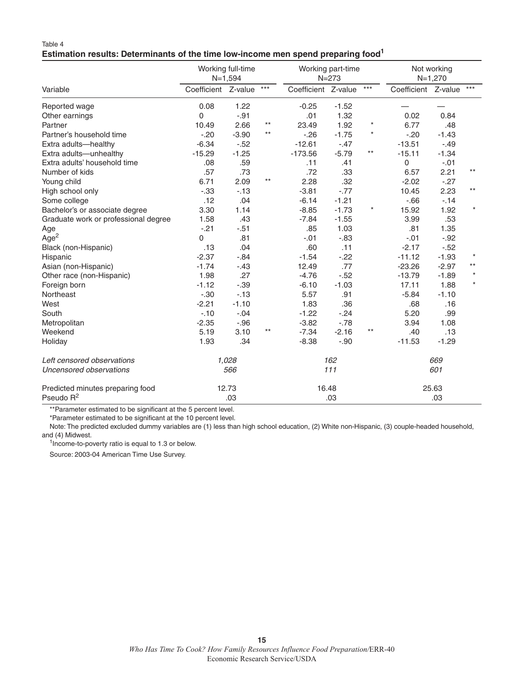#### Table 4 **Estimation results: Determinants of the time low-income men spend preparing food1**

|                                                           | Working full-time<br>$N=1,594$ |         |       | Working part-time<br>$N = 273$ |         |         | Not working<br>$N=1,270$ |         |         |
|-----------------------------------------------------------|--------------------------------|---------|-------|--------------------------------|---------|---------|--------------------------|---------|---------|
| Variable                                                  | Coefficient Z-value            |         | $***$ | Coefficient Z-value            |         | $***$   | Coefficient Z-value      |         | $***$   |
| Reported wage                                             | 0.08                           | 1.22    |       | $-0.25$                        | $-1.52$ |         |                          |         |         |
| Other earnings                                            | 0                              | $-.91$  |       | .01                            | 1.32    |         | 0.02                     | 0.84    |         |
| Partner                                                   | 10.49                          | 2.66    | $***$ | 23.49                          | 1.92    | $\star$ | 6.77                     | .48     |         |
| Partner's household time                                  | $-20$                          | $-3.90$ | $***$ | $-26$                          | $-1.75$ | $\star$ | $-20$                    | $-1.43$ |         |
| Extra adults-healthy                                      | $-6.34$                        | $-.52$  |       | $-12.61$                       | $-.47$  |         | $-13.51$                 | $-.49$  |         |
| Extra adults-unhealthy                                    | $-15.29$                       | $-1.25$ |       | $-173.56$                      | $-5.79$ | $***$   | $-15.11$                 | $-1.34$ |         |
| Extra adults' household time                              | .08                            | .59     |       | .11                            | .41     |         | 0                        | $-.01$  |         |
| Number of kids                                            | .57                            | .73     |       | .72                            | .33     |         | 6.57                     | 2.21    | $***$   |
| Young child                                               | 6.71                           | 2.09    | $***$ | 2.28                           | .32     |         | $-2.02$                  | $-.27$  |         |
| High school only                                          | $-.33$                         | $-13$   |       | $-3.81$                        | $-0.77$ |         | 10.45                    | 2.23    | $***$   |
| Some college                                              | .12                            | .04     |       | $-6.14$                        | $-1.21$ |         | $-66$                    | $-14$   |         |
| Bachelor's or associate degree                            | 3.30                           | 1.14    |       | $-8.85$                        | $-1.73$ | *       | 15.92                    | 1.92    | $\star$ |
| Graduate work or professional degree                      | 1.58                           | .43     |       | $-7.84$                        | $-1.55$ |         | 3.99                     | .53     |         |
| Age                                                       | $-.21$                         | $-.51$  |       | .85                            | 1.03    |         | .81                      | 1.35    |         |
| Age <sup>2</sup>                                          | $\Omega$                       | .81     |       | $-.01$                         | $-0.83$ |         | $-.01$                   | $-.92$  |         |
| Black (non-Hispanic)                                      | .13                            | .04     |       | .60                            | .11     |         | $-2.17$                  | $-.52$  |         |
| Hispanic                                                  | $-2.37$                        | $-.84$  |       | $-1.54$                        | $-22$   |         | $-11.12$                 | $-1.93$ | $\star$ |
| Asian (non-Hispanic)                                      | $-1.74$                        | $-.43$  |       | 12.49                          | .77     |         | $-23.26$                 | $-2.97$ | $***$   |
| Other race (non-Hispanic)                                 | 1.98                           | .27     |       | $-4.76$                        | $-.52$  |         | $-13.79$                 | $-1.89$ | $\star$ |
| Foreign born                                              | $-1.12$                        | $-.39$  |       | $-6.10$                        | $-1.03$ |         | 17.11                    | 1.88    | $\star$ |
| Northeast                                                 | $-.30$                         | $-13$   |       | 5.57                           | .91     |         | $-5.84$                  | $-1.10$ |         |
| West                                                      | $-2.21$                        | $-1.10$ |       | 1.83                           | .36     |         | .68                      | .16     |         |
| South                                                     | $-10$                          | $-.04$  |       | $-1.22$                        | $-.24$  |         | 5.20                     | .99     |         |
| Metropolitan                                              | $-2.35$                        | $-.96$  |       | $-3.82$                        | $-.78$  |         | 3.94                     | 1.08    |         |
| Weekend                                                   | 5.19                           | 3.10    | $***$ | $-7.34$                        | $-2.16$ | $***$   | .40                      | .13     |         |
| Holiday                                                   | 1.93                           | .34     |       | $-8.38$                        | $-.90$  |         | $-11.53$                 | $-1.29$ |         |
| Left censored observations                                | 1,028                          |         | 162   |                                |         | 669     |                          |         |         |
| Uncensored observations                                   |                                | 566     |       |                                | 111     |         |                          | 601     |         |
| Predicted minutes preparing food<br>Pseudo R <sup>2</sup> | 12.73<br>.03                   |         |       | 16.48<br>.03                   |         |         | 25.63<br>.03             |         |         |

\*\*Parameter estimated to be significant at the 5 percent level.

\*Parameter estimated to be significant at the 10 percent level.

Note: The predicted excluded dummy variables are (1) less than high school education, (2) White non-Hispanic, (3) couple-headed household, and (4) Midwest.

<sup>1</sup>Income-to-poverty ratio is equal to 1.3 or below.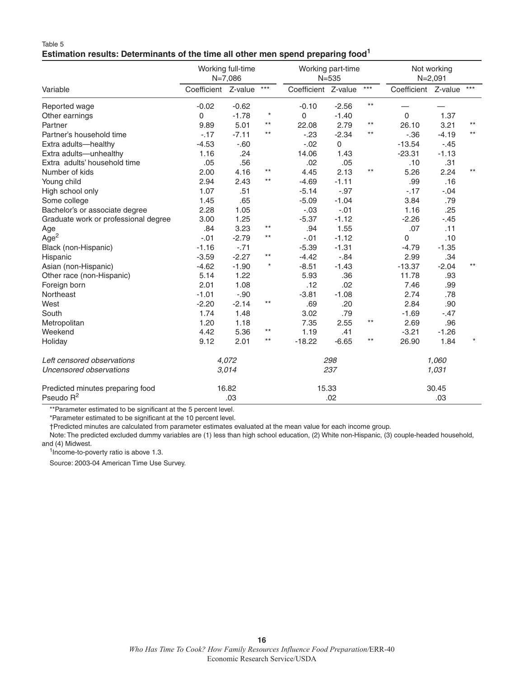#### Table 5 **Estimation results: Determinants of the time all other men spend preparing food1**

|                                      | Working full-time<br>$N=7,086$ |         |                   | Working part-time<br>$N = 535$ |             |       | Not working<br>$N = 2,091$ |         |         |
|--------------------------------------|--------------------------------|---------|-------------------|--------------------------------|-------------|-------|----------------------------|---------|---------|
| Variable                             | Coefficient Z-value            |         | $\star\star\star$ | Coefficient Z-value            |             | $***$ | Coefficient Z-value        |         | $***$   |
| Reported wage                        | $-0.02$                        | $-0.62$ |                   | $-0.10$                        | $-2.56$     | $***$ |                            |         |         |
| Other earnings                       | 0                              | $-1.78$ | $\star$           | 0                              | $-1.40$     |       | $\mathbf 0$                | 1.37    |         |
| Partner                              | 9.89                           | 5.01    | $***$             | 22.08                          | 2.79        | $***$ | 26.10                      | 3.21    | $***$   |
| Partner's household time             | $-17$                          | $-7.11$ | $***$             | $-23$                          | $-2.34$     | $***$ | $-.36$                     | $-4.19$ | $***$   |
| Extra adults-healthy                 | $-4.53$                        | $-.60$  |                   | $-.02$                         | $\mathsf 0$ |       | $-13.54$                   | $-.45$  |         |
| Extra adults-unhealthy               | 1.16                           | .24     |                   | 14.06                          | 1.43        |       | $-23.31$                   | $-1.13$ |         |
| Extra adults' household time         | .05                            | .56     |                   | .02                            | .05         |       | .10                        | .31     |         |
| Number of kids                       | 2.00                           | 4.16    | $***$             | 4.45                           | 2.13        | $***$ | 5.26                       | 2.24    | $***$   |
| Young child                          | 2.94                           | 2.43    | $***$             | $-4.69$                        | $-1.11$     |       | .99                        | .16     |         |
| High school only                     | 1.07                           | .51     |                   | $-5.14$                        | $-.97$      |       | $-.17$                     | $-.04$  |         |
| Some college                         | 1.45                           | .65     |                   | $-5.09$                        | $-1.04$     |       | 3.84                       | .79     |         |
| Bachelor's or associate degree       | 2.28                           | 1.05    |                   | $-.03$                         | $-.01$      |       | 1.16                       | .25     |         |
| Graduate work or professional degree | 3.00                           | 1.25    |                   | $-5.37$                        | $-1.12$     |       | $-2.26$                    | $-.45$  |         |
| Age                                  | .84                            | 3.23    | $***$             | .94                            | 1.55        |       | .07                        | .11     |         |
| Age <sup>2</sup>                     | $-.01$                         | $-2.79$ | $***$             | $-.01$                         | $-1.12$     |       | 0                          | .10     |         |
| Black (non-Hispanic)                 | $-1.16$                        | $-.71$  |                   | $-5.39$                        | $-1.31$     |       | $-4.79$                    | $-1.35$ |         |
| Hispanic                             | $-3.59$                        | $-2.27$ | $***$             | $-4.42$                        | $-.84$      |       | 2.99                       | .34     |         |
| Asian (non-Hispanic)                 | $-4.62$                        | $-1.90$ | $\star$           | $-8.51$                        | $-1.43$     |       | $-13.37$                   | $-2.04$ | $***$   |
| Other race (non-Hispanic)            | 5.14                           | 1.22    |                   | 5.93                           | .36         |       | 11.78                      | .93     |         |
| Foreign born                         | 2.01                           | 1.08    |                   | .12                            | .02         |       | 7.46                       | .99     |         |
| Northeast                            | $-1.01$                        | $-.90$  |                   | $-3.81$                        | $-1.08$     |       | 2.74                       | .78     |         |
| West                                 | $-2.20$                        | $-2.14$ | $***$             | .69                            | .20         |       | 2.84                       | .90     |         |
| South                                | 1.74                           | 1.48    |                   | 3.02                           | .79         |       | $-1.69$                    | $-.47$  |         |
| Metropolitan                         | 1.20                           | 1.18    |                   | 7.35                           | 2.55        | $***$ | 2.69                       | .96     |         |
| Weekend                              | 4.42                           | 5.36    | $^{\star\star}$   | 1.19                           | .41         |       | $-3.21$                    | $-1.26$ |         |
| Holiday                              | 9.12                           | 2.01    | $***$             | $-18.22$                       | $-6.65$     | $***$ | 26.90                      | 1.84    | $\star$ |
| Left censored observations           | 4,072                          |         |                   | 298                            |             |       | 1,060                      |         |         |
| Uncensored observations              | 3,014                          |         |                   | 237                            |             |       | 1,031                      |         |         |
| Predicted minutes preparing food     |                                | 16.82   |                   | 15.33                          |             |       | 30.45                      |         |         |
| Pseudo $R^2$                         | .03                            |         |                   |                                | .02         |       | .03                        |         |         |

\*\*Parameter estimated to be significant at the 5 percent level.

\*Parameter estimated to be significant at the 10 percent level.

†Predicted minutes are calculated from parameter estimates evaluated at the mean value for each income group.

Note: The predicted excluded dummy variables are (1) less than high school education, (2) White non-Hispanic, (3) couple-headed household, and (4) Midwest.

<sup>1</sup>Income-to-poverty ratio is above 1.3.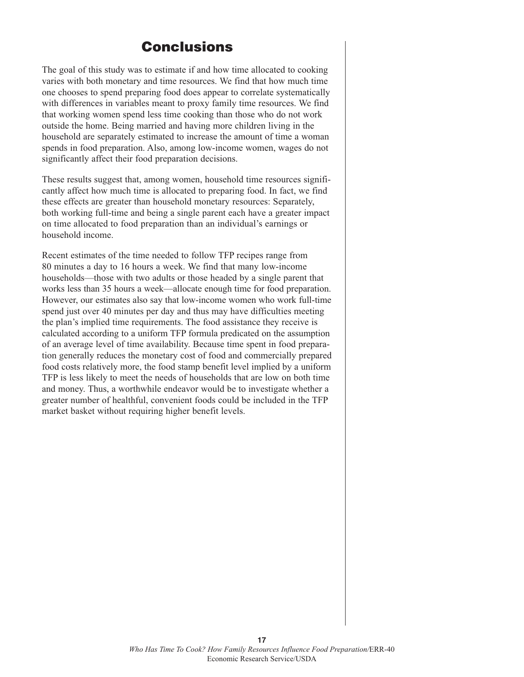## **Conclusions**

The goal of this study was to estimate if and how time allocated to cooking varies with both monetary and time resources. We find that how much time one chooses to spend preparing food does appear to correlate systematically with differences in variables meant to proxy family time resources. We find that working women spend less time cooking than those who do not work outside the home. Being married and having more children living in the household are separately estimated to increase the amount of time a woman spends in food preparation. Also, among low-income women, wages do not significantly affect their food preparation decisions.

These results suggest that, among women, household time resources significantly affect how much time is allocated to preparing food. In fact, we find these effects are greater than household monetary resources: Separately, both working full-time and being a single parent each have a greater impact on time allocated to food preparation than an individual's earnings or household income.

Recent estimates of the time needed to follow TFP recipes range from 80 minutes a day to 16 hours a week. We find that many low-income households—those with two adults or those headed by a single parent that works less than 35 hours a week—allocate enough time for food preparation. However, our estimates also say that low-income women who work full-time spend just over 40 minutes per day and thus may have difficulties meeting the plan's implied time requirements. The food assistance they receive is calculated according to a uniform TFP formula predicated on the assumption of an average level of time availability. Because time spent in food preparation generally reduces the monetary cost of food and commercially prepared food costs relatively more, the food stamp benefit level implied by a uniform TFP is less likely to meet the needs of households that are low on both time and money. Thus, a worthwhile endeavor would be to investigate whether a greater number of healthful, convenient foods could be included in the TFP market basket without requiring higher benefit levels.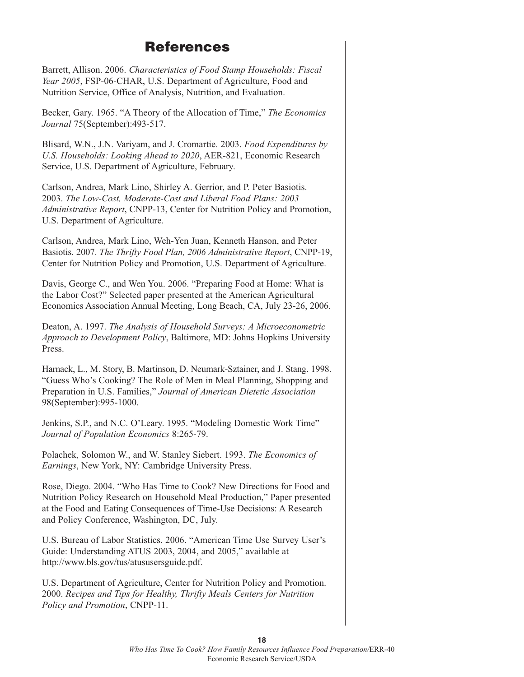## **References**

Barrett, Allison. 2006. *Characteristics of Food Stamp Households: Fiscal Year 2005*, FSP-06-CHAR, U.S. Department of Agriculture, Food and Nutrition Service, Office of Analysis, Nutrition, and Evaluation.

Becker, Gary. 1965. "A Theory of the Allocation of Time," *The Economics Journal* 75(September):493-517.

Blisard, W.N., J.N. Variyam, and J. Cromartie. 2003. *Food Expenditures by U.S. Households: Looking Ahead to 2020*, AER-821, Economic Research Service, U.S. Department of Agriculture, February.

Carlson, Andrea, Mark Lino, Shirley A. Gerrior, and P. Peter Basiotis. 2003. *The Low-Cost, Moderate-Cost and Liberal Food Plans: 2003 Administrative Report*, CNPP-13, Center for Nutrition Policy and Promotion, U.S. Department of Agriculture.

Carlson, Andrea, Mark Lino, Weh-Yen Juan, Kenneth Hanson, and Peter Basiotis. 2007. *The Thrifty Food Plan, 2006 Administrative Report*, CNPP-19, Center for Nutrition Policy and Promotion, U.S. Department of Agriculture.

Davis, George C., and Wen You. 2006. "Preparing Food at Home: What is the Labor Cost?" Selected paper presented at the American Agricultural Economics Association Annual Meeting, Long Beach, CA, July 23-26, 2006.

Deaton, A. 1997. *The Analysis of Household Surveys: A Microeconometric Approach to Development Policy*, Baltimore, MD: Johns Hopkins University Press.

Harnack, L., M. Story, B. Martinson, D. Neumark-Sztainer, and J. Stang. 1998. "Guess Who's Cooking? The Role of Men in Meal Planning, Shopping and Preparation in U.S. Families," *Journal of American Dietetic Association* 98(September):995-1000.

Jenkins, S.P., and N.C. O'Leary. 1995. "Modeling Domestic Work Time" *Journal of Population Economics* 8:265-79.

Polachek, Solomon W., and W. Stanley Siebert. 1993. *The Economics of Earnings*, New York, NY: Cambridge University Press.

Rose, Diego. 2004. "Who Has Time to Cook? New Directions for Food and Nutrition Policy Research on Household Meal Production," Paper presented at the Food and Eating Consequences of Time-Use Decisions: A Research and Policy Conference, Washington, DC, July.

U.S. Bureau of Labor Statistics. 2006. "American Time Use Survey User's Guide: Understanding ATUS 2003, 2004, and 2005," available at http://www.bls.gov/tus/atususersguide.pdf.

U.S. Department of Agriculture, Center for Nutrition Policy and Promotion. 2000. *Recipes and Tips for Healthy, Thrifty Meals Centers for Nutrition Policy and Promotion*, CNPP-11.